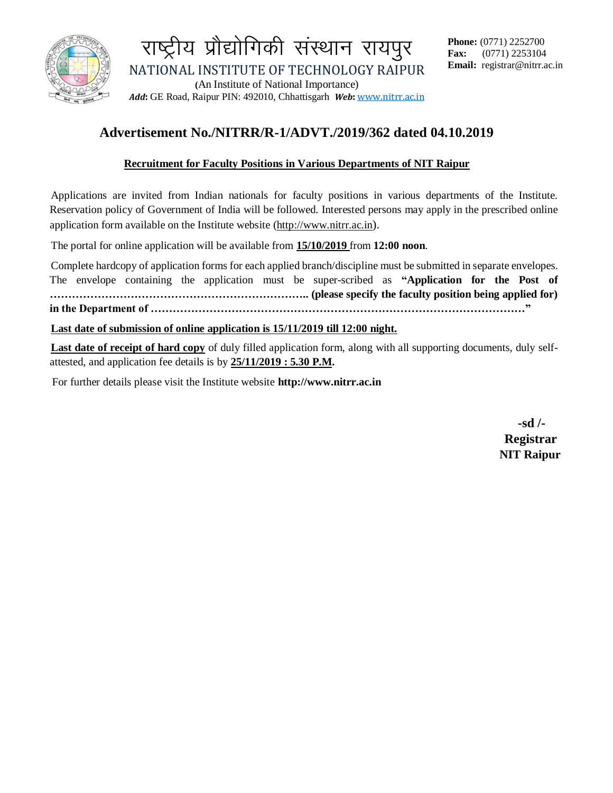

राष्ट्रीय प्रौद्योगिकी संस्थान रायपुर NATIONAL INSTITUTE OF TECHNOLOGY RAIPUR **(**An Institute of National Importance) *Add***:** GE Road, Raipur PIN: 492010, Chhattisgarh *Web***:** [www.nitrr.ac.in](http://www.nitrr.ac.in/)

## **Advertisement No./NITRR/R-1/ADVT./2019/362 dated 04.10.2019**

#### **Recruitment for Faculty Positions in Various Departments of NIT Raipur**

Applications are invited from Indian nationals for faculty positions in various departments of the Institute. Reservation policy of Government of India will be followed. Interested persons may apply in the prescribed online application form available on the Institute website (http://www.nitrr.ac.in).

The portal for online application will be available from **15/10/2019** from **12:00 noon**.

Complete hardcopy of application forms for each applied branch/discipline must be submitted in separate envelopes. The envelope containing the application must be super-scribed as **"Application for the Post of …………………………………………………………….. (please specify the faculty position being applied for) in the Department of …………………………………………………………………………………………"**

**Last date of submission of online application is 15/11/2019 till 12:00 night.** 

**Last date of receipt of hard copy** of duly filled application form, along with all supporting documents, duly selfattested, and application fee details is by **25/11/2019 : 5.30 P.M.**

For further details please visit the Institute website **http://www.nitrr.ac.in**

 **-sd /- Registrar NIT Raipur**